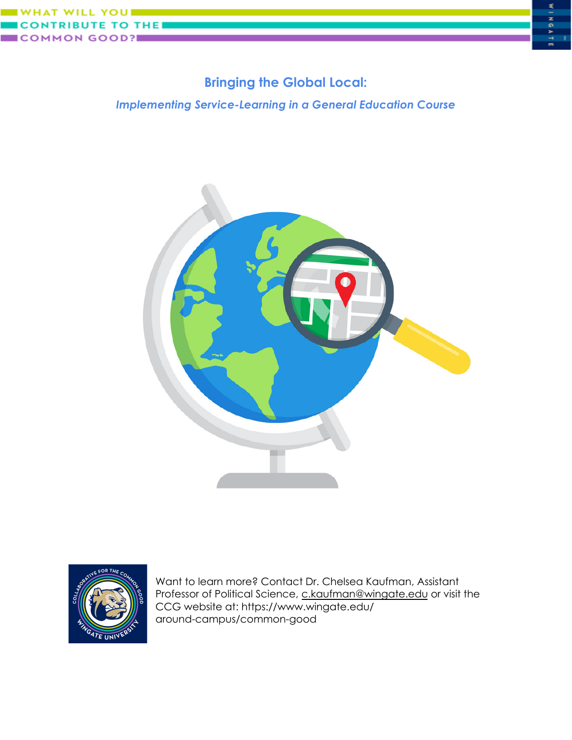

## **Bringing the Global Local:**

*Implementing Service-Learning in a General Education Course*





Want to learn more? Contact Dr. Chelsea Kaufman, Assistant Professor of Political Science, [c.kaufman@wingate.edu](mailto:c.kaufman@wingate.edu) or visit the CCG website at: https://www.wingate.edu/ around-campus/common-good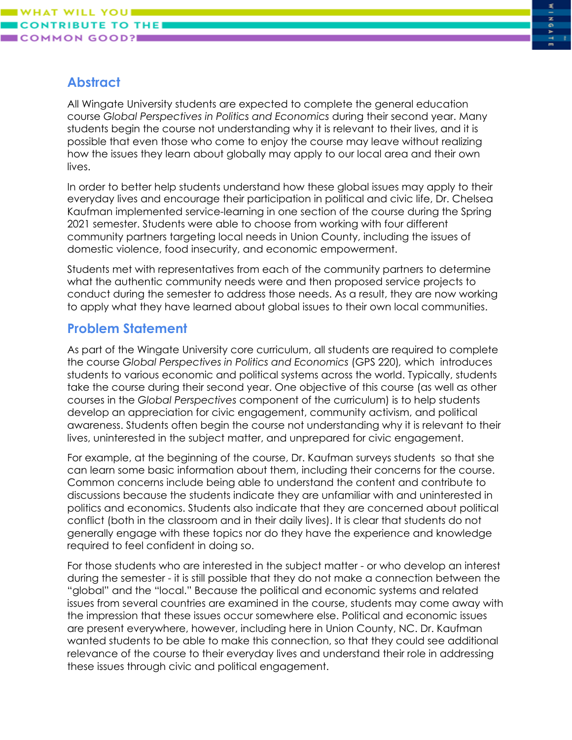# **Abstract**

All Wingate University students are expected to complete the general education course *Global Perspectives in Politics and Economics* during their second year. Many students begin the course not understanding why it is relevant to their lives, and it is possible that even those who come to enjoy the course may leave without realizing how the issues they learn about globally may apply to our local area and their own lives.

In order to better help students understand how these global issues may apply to their everyday lives and encourage their participation in political and civic life, Dr. Chelsea Kaufman implemented service-learning in one section of the course during the Spring 2021 semester. Students were able to choose from working with four different community partners targeting local needs in Union County, including the issues of domestic violence, food insecurity, and economic empowerment.

Students met with representatives from each of the community partners to determine what the authentic community needs were and then proposed service projects to conduct during the semester to address those needs. As a result, they are now working to apply what they have learned about global issues to their own local communities.

#### **Problem Statement**

As part of the Wingate University core curriculum, all students are required to complete the course *Global Perspectives in Politics and Economics* (GPS 220)*,* which introduces students to various economic and political systems across the world. Typically, students take the course during their second year. One objective of this course (as well as other courses in the *Global Perspectives* component of the curriculum) is to help students develop an appreciation for civic engagement, community activism, and political awareness. Students often begin the course not understanding why it is relevant to their lives, uninterested in the subject matter, and unprepared for civic engagement.

For example, at the beginning of the course, Dr. Kaufman surveys students so that she can learn some basic information about them, including their concerns for the course. Common concerns include being able to understand the content and contribute to discussions because the students indicate they are unfamiliar with and uninterested in politics and economics. Students also indicate that they are concerned about political conflict (both in the classroom and in their daily lives). It is clear that students do not generally engage with these topics nor do they have the experience and knowledge required to feel confident in doing so.

For those students who are interested in the subject matter - or who develop an interest during the semester - it is still possible that they do not make a connection between the "global" and the "local." Because the political and economic systems and related issues from several countries are examined in the course, students may come away with the impression that these issues occur somewhere else. Political and economic issues are present everywhere, however, including here in Union County, NC. Dr. Kaufman wanted students to be able to make this connection, so that they could see additional relevance of the course to their everyday lives and understand their role in addressing these issues through civic and political engagement.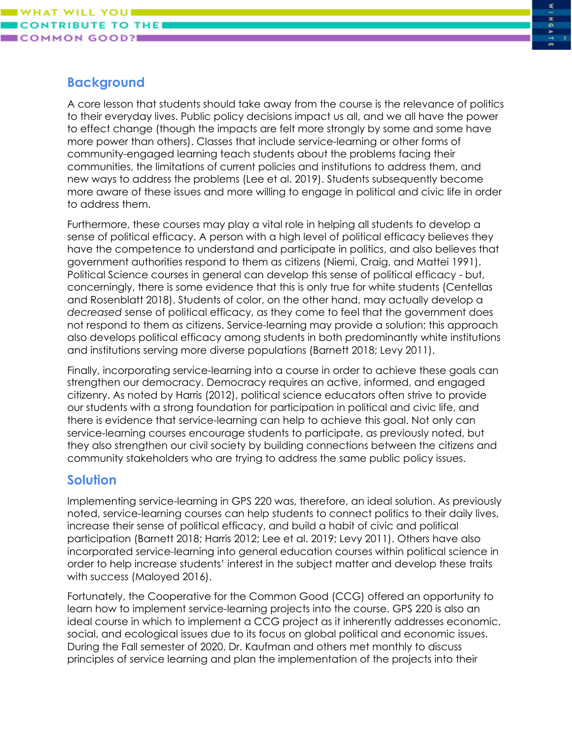### **Background**

A core lesson that students should take away from the course is the relevance of politics to their everyday lives. Public policy decisions impact us all, and we all have the power to effect change (though the impacts are felt more strongly by some and some have more power than others). Classes that include service-learning or other forms of community-engaged learning teach students about the problems facing their communities, the limitations of current policies and institutions to address them, and new ways to address the problems (Lee et al. 2019). Students subsequently become more aware of these issues and more willing to engage in political and civic life in order to address them.

Furthermore, these courses may play a vital role in helping all students to develop a sense of political efficacy. A person with a high level of political efficacy believes they have the competence to understand and participate in politics, and also believes that government authorities respond to them as citizens (Niemi, Craig, and Mattei 1991). Political Science courses in general can develop this sense of political efficacy - but, concerningly, there is some evidence that this is only true for white students (Centellas and Rosenblatt 2018). Students of color, on the other hand, may actually develop a *decreased* sense of political efficacy, as they come to feel that the government does not respond to them as citizens. Service-learning may provide a solution: this approach also develops political efficacy among students in both predominantly white institutions and institutions serving more diverse populations (Barnett 2018; Levy 2011).

Finally, incorporating service-learning into a course in order to achieve these goals can strengthen our democracy. Democracy requires an active, informed, and engaged citizenry. As noted by Harris (2012), political science educators often strive to provide our students with a strong foundation for participation in political and civic life, and there is evidence that service-learning can help to achieve this goal. Not only can service-learning courses encourage students to participate, as previously noted, but they also strengthen our civil society by building connections between the citizens and community stakeholders who are trying to address the same public policy issues.

# **Solution**

Implementing service-learning in GPS 220 was, therefore, an ideal solution. As previously noted, service-learning courses can help students to connect politics to their daily lives, increase their sense of political efficacy, and build a habit of civic and political participation (Barnett 2018; Harris 2012; Lee et al. 2019; Levy 2011). Others have also incorporated service-learning into general education courses within political science in order to help increase students' interest in the subject matter and develop these traits with success (Maloyed 2016).

Fortunately, the Cooperative for the Common Good (CCG) offered an opportunity to learn how to implement service-learning projects into the course. GPS 220 is also an ideal course in which to implement a CCG project as it inherently addresses economic, social, and ecological issues due to its focus on global political and economic issues. During the Fall semester of 2020, Dr. Kaufman and others met monthly to discuss principles of service learning and plan the implementation of the projects into their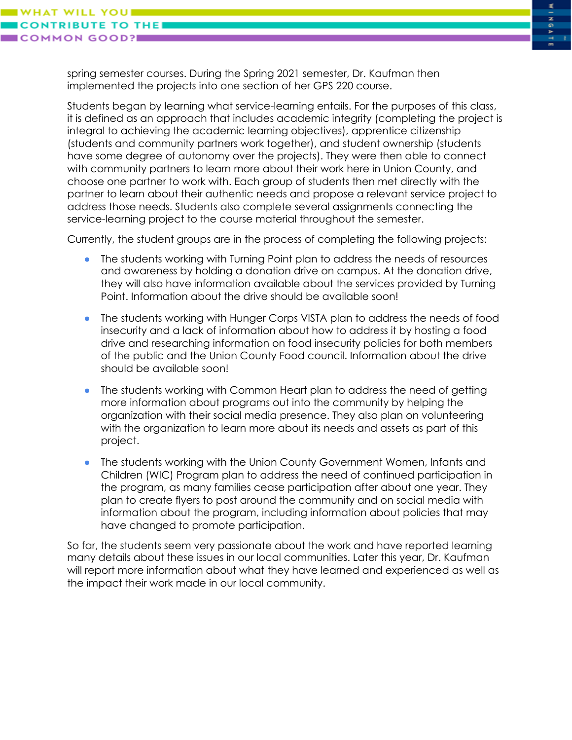**WILL YOU** 

**OMMON GOOD?I** 

spring semester courses. During the Spring 2021 semester, Dr. Kaufman then implemented the projects into one section of her GPS 220 course.

Students began by learning what service-learning entails. For the purposes of this class, it is defined as an approach that includes academic integrity (completing the project is integral to achieving the academic learning objectives), apprentice citizenship (students and community partners work together), and student ownership (students have some degree of autonomy over the projects). They were then able to connect with community partners to learn more about their work here in Union County, and choose one partner to work with. Each group of students then met directly with the partner to learn about their authentic needs and propose a relevant service project to address those needs. Students also complete several assignments connecting the service-learning project to the course material throughout the semester.

Currently, the student groups are in the process of completing the following projects:

- The students working with Turning Point plan to address the needs of resources and awareness by holding a donation drive on campus. At the donation drive, they will also have information available about the services provided by Turning Point. Information about the drive should be available soon!
- The students working with Hunger Corps VISTA plan to address the needs of food insecurity and a lack of information about how to address it by hosting a food drive and researching information on food insecurity policies for both members of the public and the Union County Food council. Information about the drive should be available soon!
- The students working with Common Heart plan to address the need of getting more information about programs out into the community by helping the organization with their social media presence. They also plan on volunteering with the organization to learn more about its needs and assets as part of this project.
- The students working with the Union County Government Women, Infants and Children (WIC) Program plan to address the need of continued participation in the program, as many families cease participation after about one year. They plan to create flyers to post around the community and on social media with information about the program, including information about policies that may have changed to promote participation.

So far, the students seem very passionate about the work and have reported learning many details about these issues in our local communities. Later this year, Dr. Kaufman will report more information about what they have learned and experienced as well as the impact their work made in our local community.